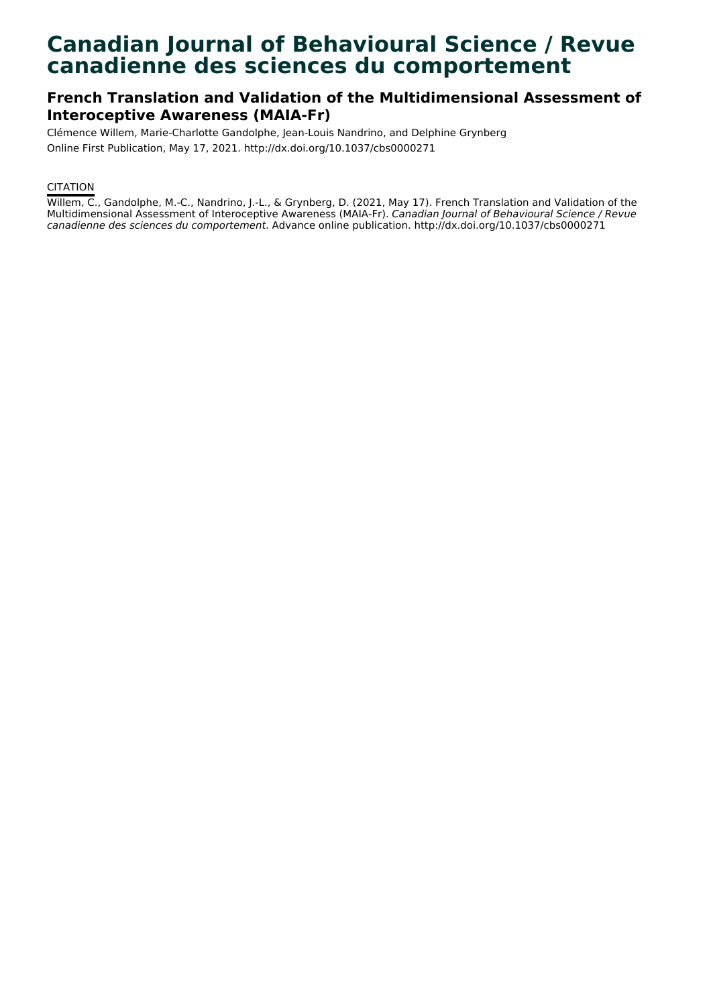# **Canadian Journal of Behavioural Science / Revue canadienne des sciences du comportement**

## **French Translation and Validation of the Multidimensional Assessment of Interoceptive Awareness (MAIA-Fr)**

Clémence Willem, Marie-Charlotte Gandolphe, Jean-Louis Nandrino, and Delphine Grynberg Online First Publication, May 17, 2021. http://dx.doi.org/10.1037/cbs0000271

#### **CITATION**

Willem, C., Gandolphe, M.-C., Nandrino, J.-L., & Grynberg, D. (2021, May 17). French Translation and Validation of the Multidimensional Assessment of Interoceptive Awareness (MAIA-Fr). Canadian Journal of Behavioural Science / Revue canadienne des sciences du comportement. Advance online publication. http://dx.doi.org/10.1037/cbs0000271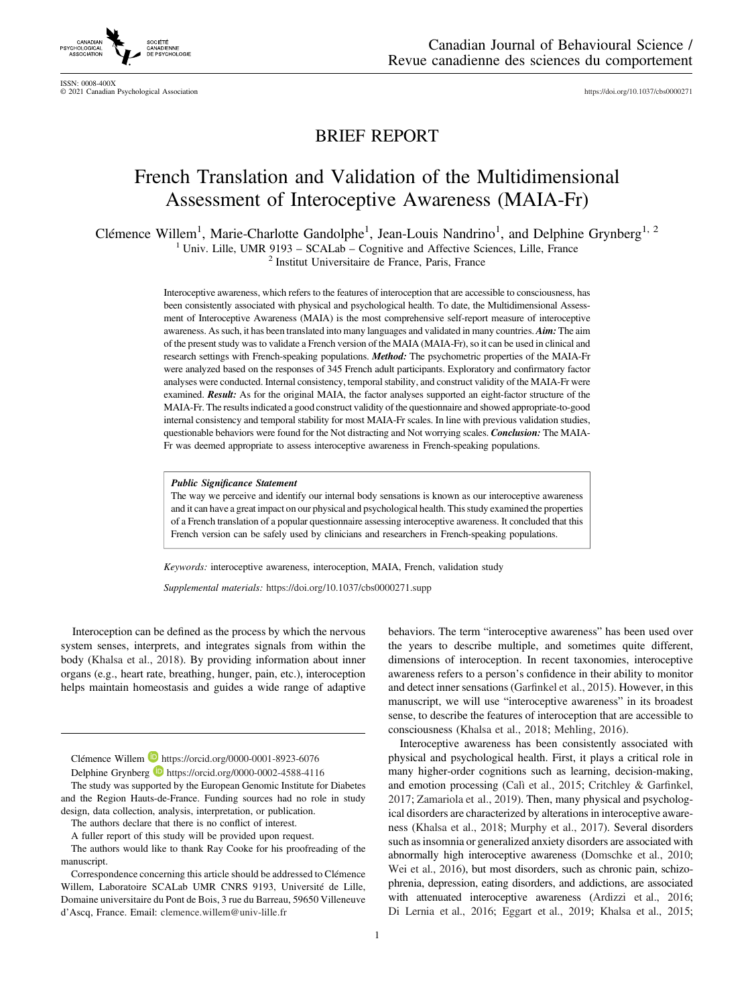

ISSN: 0008-400X © 2021 Canadian Psychological Association <https://doi.org/10.1037/cbs0000271>

### BRIEF REPORT

## French Translation and Validation of the Multidimensional Assessment of Interoceptive Awareness (MAIA-Fr)

Clémence Willem<sup>1</sup>, Marie-Charlotte Gandolphe<sup>1</sup>, Jean-Louis Nandrino<sup>1</sup>, and Delphine Grynberg<sup>1, 2</sup> <sup>1</sup> Univ. Lille, UMR 9193 – SCALab – Cognitive and Affective Sciences, Lille, France  $2^2$  Institut Universitaire de France, Paris, France

Interoceptive awareness, which refers to the features of interoception that are accessible to consciousness, has been consistently associated with physical and psychological health. To date, the Multidimensional Assessment of Interoceptive Awareness (MAIA) is the most comprehensive self-report measure of interoceptive awareness. As such, it has been translated into many languages and validated in many countries. Aim: The aim of the present study was to validate a French version of the MAIA (MAIA-Fr), so it can be used in clinical and research settings with French-speaking populations. Method: The psychometric properties of the MAIA-Fr were analyzed based on the responses of 345 French adult participants. Exploratory and confirmatory factor analyses were conducted. Internal consistency, temporal stability, and construct validity of the MAIA-Fr were examined. Result: As for the original MAIA, the factor analyses supported an eight-factor structure of the MAIA-Fr. The results indicated a good construct validity of the questionnaire and showed appropriate-to-good internal consistency and temporal stability for most MAIA-Fr scales. In line with previous validation studies, questionable behaviors were found for the Not distracting and Not worrying scales. Conclusion: The MAIA-Fr was deemed appropriate to assess interoceptive awareness in French-speaking populations.

#### Public Significance Statement

The way we perceive and identify our internal body sensations is known as our interoceptive awareness and it can have a great impact on our physical and psychological health. This study examined the properties of a French translation of a popular questionnaire assessing interoceptive awareness. It concluded that this French version can be safely used by clinicians and researchers in French-speaking populations.

Keywords: interoceptive awareness, interoception, MAIA, French, validation study

Supplemental materials: <https://doi.org/10.1037/cbs0000271.supp>

Interoception can be defined as the process by which the nervous system senses, interprets, and integrates signals from within the body (Khalsa et al., 2018). By providing information about inner organs (e.g., heart rate, breathing, hunger, pain, etc.), interoception helps maintain homeostasis and guides a wide range of adaptive

Delphine Grynberg <https://orcid.org/0000-0002-4588-4116>

The study was supported by the European Genomic Institute for Diabetes and the Region Hauts-de-France. Funding sources had no role in study design, data collection, analysis, interpretation, or publication.

the years to describe multiple, and sometimes quite different, dimensions of interoception. In recent taxonomies, interoceptive awareness refers to a person's confidence in their ability to monitor and detect inner sensations (Garfinkel et al., 2015). However, in this manuscript, we will use "interoceptive awareness" in its broadest sense, to describe the features of interoception that are accessible to consciousness (Khalsa et al., 2018; Mehling, 2016). Interoceptive awareness has been consistently associated with

behaviors. The term "interoceptive awareness" has been used over

physical and psychological health. First, it plays a critical role in many higher-order cognitions such as learning, decision-making, and emotion processing (Calì et al., 2015; Critchley & Garfinkel, 2017; Zamariola et al., 2019). Then, many physical and psychological disorders are characterized by alterations in interoceptive awareness (Khalsa et al., 2018; Murphy et al., 2017). Several disorders such as insomnia or generalized anxiety disorders are associated with abnormally high interoceptive awareness (Domschke et al., 2010; Wei et al., 2016), but most disorders, such as chronic pain, schizophrenia, depression, eating disorders, and addictions, are associated with attenuated interoceptive awareness (Ardizzi et al., 2016; Di Lernia et al., 2016; Eggart et al., 2019; Khalsa et al., 2015;

Clémence Willem <https://orcid.org/0000-0001-8923-6076>

The authors declare that there is no conflict of interest.

A fuller report of this study will be provided upon request.

The authors would like to thank Ray Cooke for his proofreading of the manuscript.

Correspondence concerning this article should be addressed to Clémence Willem, Laboratoire SCALab UMR CNRS 9193, Université de Lille, Domaine universitaire du Pont de Bois, 3 rue du Barreau, 59650 Villeneuve d'Ascq, France. Email: [clemence.willem@univ-lille.fr](mailto:clemence.willem@univ-lille.fr)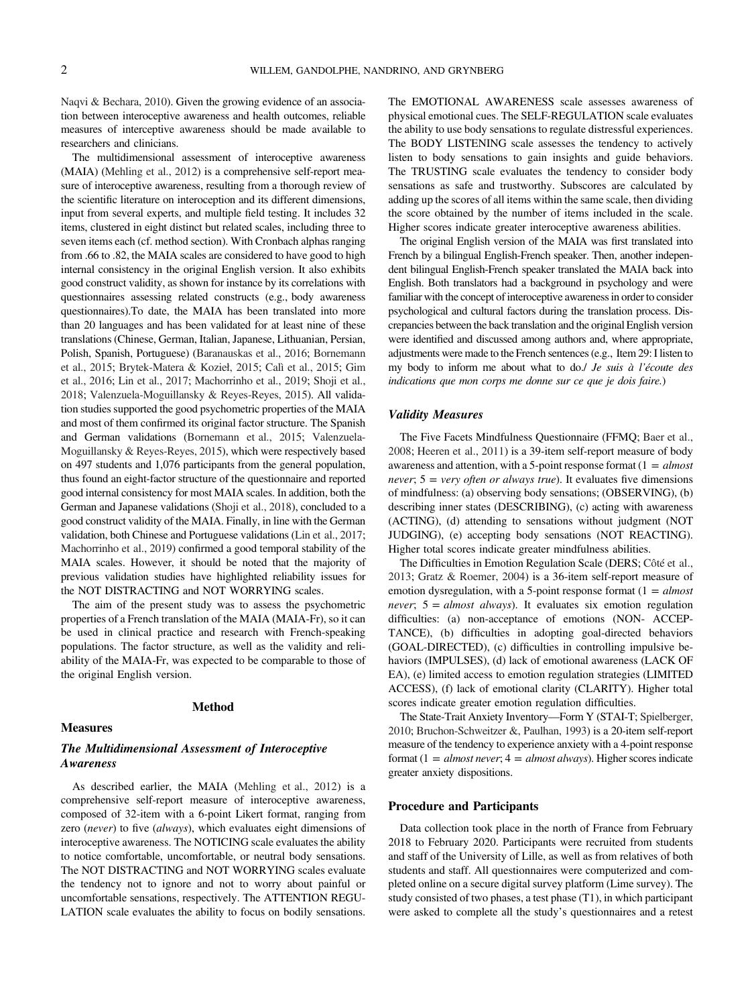Naqvi & Bechara, 2010). Given the growing evidence of an association between interoceptive awareness and health outcomes, reliable measures of interceptive awareness should be made available to researchers and clinicians.

The multidimensional assessment of interoceptive awareness (MAIA) (Mehling et al., 2012) is a comprehensive self-report measure of interoceptive awareness, resulting from a thorough review of the scientific literature on interoception and its different dimensions, input from several experts, and multiple field testing. It includes 32 items, clustered in eight distinct but related scales, including three to seven items each (cf. method section). With Cronbach alphas ranging from .66 to .82, the MAIA scales are considered to have good to high internal consistency in the original English version. It also exhibits good construct validity, as shown for instance by its correlations with questionnaires assessing related constructs (e.g., body awareness questionnaires).To date, the MAIA has been translated into more than 20 languages and has been validated for at least nine of these translations (Chinese, German, Italian, Japanese, Lithuanian, Persian, Polish, Spanish, Portuguese) (Baranauskas et al., 2016; Bornemann et al., 2015; Brytek-Matera & Kozieł, 2015; Calì et al., 2015; Gim et al., 2016; Lin et al., 2017; Machorrinho et al., 2019; Shoji et al., 2018; Valenzuela-Moguillansky & Reyes-Reyes, 2015). All validation studies supported the good psychometric properties of the MAIA and most of them confirmed its original factor structure. The Spanish and German validations (Bornemann et al., 2015; Valenzuela-Moguillansky & Reyes-Reyes, 2015), which were respectively based on 497 students and 1,076 participants from the general population, thus found an eight-factor structure of the questionnaire and reported good internal consistency for most MAIA scales. In addition, both the German and Japanese validations (Shoji et al., 2018), concluded to a good construct validity of the MAIA. Finally, in line with the German validation, both Chinese and Portuguese validations (Lin et al., 2017; Machorrinho et al., 2019) confirmed a good temporal stability of the MAIA scales. However, it should be noted that the majority of previous validation studies have highlighted reliability issues for the NOT DISTRACTING and NOT WORRYING scales.

The aim of the present study was to assess the psychometric properties of a French translation of the MAIA (MAIA-Fr), so it can be used in clinical practice and research with French-speaking populations. The factor structure, as well as the validity and reliability of the MAIA-Fr, was expected to be comparable to those of the original English version.

#### Method

#### Measures

#### The Multidimensional Assessment of Interoceptive Awareness

As described earlier, the MAIA (Mehling et al., 2012) is a comprehensive self-report measure of interoceptive awareness, composed of 32-item with a 6-point Likert format, ranging from zero (never) to five (always), which evaluates eight dimensions of interoceptive awareness. The NOTICING scale evaluates the ability to notice comfortable, uncomfortable, or neutral body sensations. The NOT DISTRACTING and NOT WORRYING scales evaluate the tendency not to ignore and not to worry about painful or uncomfortable sensations, respectively. The ATTENTION REGU-LATION scale evaluates the ability to focus on bodily sensations.

The EMOTIONAL AWARENESS scale assesses awareness of physical emotional cues. The SELF-REGULATION scale evaluates the ability to use body sensations to regulate distressful experiences. The BODY LISTENING scale assesses the tendency to actively listen to body sensations to gain insights and guide behaviors. The TRUSTING scale evaluates the tendency to consider body sensations as safe and trustworthy. Subscores are calculated by adding up the scores of all items within the same scale, then dividing the score obtained by the number of items included in the scale. Higher scores indicate greater interoceptive awareness abilities.

The original English version of the MAIA was first translated into French by a bilingual English-French speaker. Then, another independent bilingual English-French speaker translated the MAIA back into English. Both translators had a background in psychology and were familiar with the concept of interoceptive awareness in order to consider psychological and cultural factors during the translation process. Discrepancies between the back translation and the original English version were identified and discussed among authors and, where appropriate, adjustments were made to the French sentences (e.g., Item 29: I listen to my body to inform me about what to do./ Je suis à l'écoute des indications que mon corps me donne sur ce que je dois faire.)

#### Validity Measures

The Five Facets Mindfulness Questionnaire (FFMQ; Baer et al., 2008; Heeren et al., 2011) is a 39-item self-report measure of body awareness and attention, with a 5-point response format  $(1 = almost$ never;  $5 = \text{very often or always true}$ . It evaluates five dimensions of mindfulness: (a) observing body sensations; (OBSERVING), (b) describing inner states (DESCRIBING), (c) acting with awareness (ACTING), (d) attending to sensations without judgment (NOT JUDGING), (e) accepting body sensations (NOT REACTING). Higher total scores indicate greater mindfulness abilities.

The Difficulties in Emotion Regulation Scale (DERS; Côté et al., 2013; Gratz & Roemer, 2004) is a 36-item self-report measure of emotion dysregulation, with a 5-point response format  $(1 = almost$ never;  $5 = almost always$ . It evaluates six emotion regulation difficulties: (a) non-acceptance of emotions (NON- ACCEP-TANCE), (b) difficulties in adopting goal-directed behaviors (GOAL-DIRECTED), (c) difficulties in controlling impulsive behaviors (IMPULSES), (d) lack of emotional awareness (LACK OF EA), (e) limited access to emotion regulation strategies (LIMITED ACCESS), (f) lack of emotional clarity (CLARITY). Higher total scores indicate greater emotion regulation difficulties.

The State-Trait Anxiety Inventory—Form Y (STAI-T; Spielberger, 2010; Bruchon-Schweitzer &, Paulhan, 1993) is a 20-item self-report measure of the tendency to experience anxiety with a 4-point response format (1 = almost never;  $4 =$  almost always). Higher scores indicate greater anxiety dispositions.

#### Procedure and Participants

Data collection took place in the north of France from February 2018 to February 2020. Participants were recruited from students and staff of the University of Lille, as well as from relatives of both students and staff. All questionnaires were computerized and completed online on a secure digital survey platform (Lime survey). The study consisted of two phases, a test phase (T1), in which participant were asked to complete all the study's questionnaires and a retest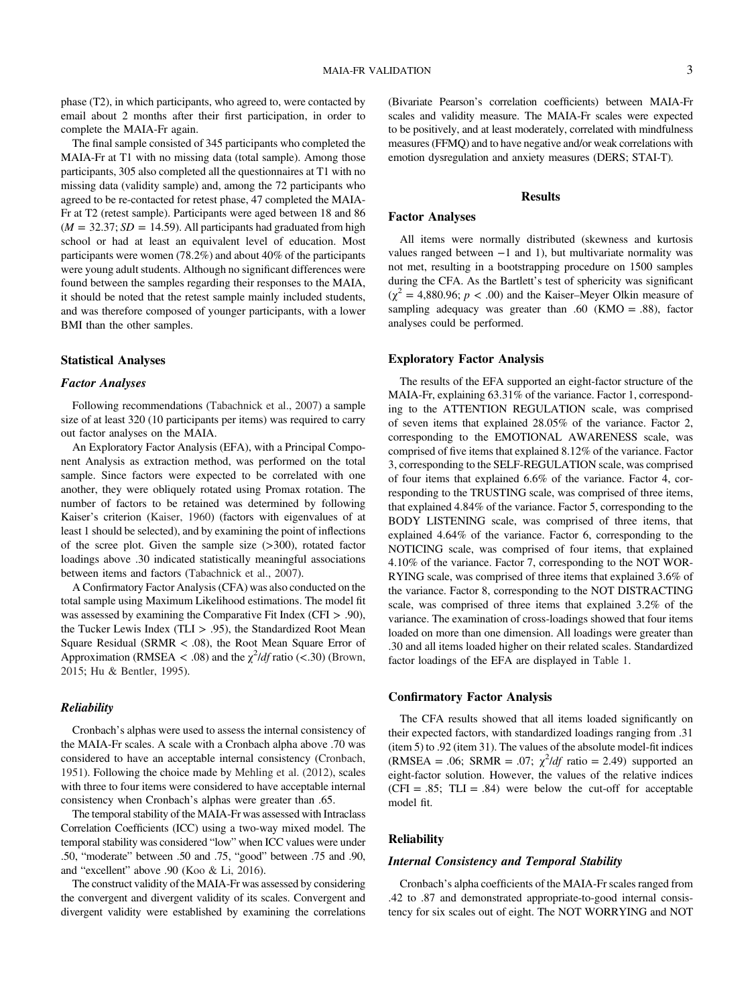phase (T2), in which participants, who agreed to, were contacted by email about 2 months after their first participation, in order to complete the MAIA-Fr again.

The final sample consisted of 345 participants who completed the MAIA-Fr at T1 with no missing data (total sample). Among those participants, 305 also completed all the questionnaires at T1 with no missing data (validity sample) and, among the 72 participants who agreed to be re-contacted for retest phase, 47 completed the MAIA-Fr at T2 (retest sample). Participants were aged between 18 and 86  $(M = 32.37; SD = 14.59)$ . All participants had graduated from high school or had at least an equivalent level of education. Most participants were women (78.2%) and about 40% of the participants were young adult students. Although no significant differences were found between the samples regarding their responses to the MAIA, it should be noted that the retest sample mainly included students, and was therefore composed of younger participants, with a lower BMI than the other samples.

#### Statistical Analyses

#### Factor Analyses

Following recommendations (Tabachnick et al., 2007) a sample size of at least 320 (10 participants per items) was required to carry out factor analyses on the MAIA.

An Exploratory Factor Analysis (EFA), with a Principal Component Analysis as extraction method, was performed on the total sample. Since factors were expected to be correlated with one another, they were obliquely rotated using Promax rotation. The number of factors to be retained was determined by following Kaiser's criterion (Kaiser, 1960) (factors with eigenvalues of at least 1 should be selected), and by examining the point of inflections of the scree plot. Given the sample size  $(>300)$ , rotated factor loadings above .30 indicated statistically meaningful associations between items and factors (Tabachnick et al., 2007).

A Confirmatory Factor Analysis (CFA) was also conducted on the total sample using Maximum Likelihood estimations. The model fit was assessed by examining the Comparative Fit Index (CFI > .90), the Tucker Lewis Index (TLI > .95), the Standardized Root Mean Square Residual (SRMR < .08), the Root Mean Square Error of Approximation (RMSEA < .08) and the  $\chi^2$ /df ratio (<.30) (Brown, 2015; [Hu & Bentler, 1995\)](#page-6-0).

#### Reliability

Cronbach's alphas were used to assess the internal consistency of the MAIA-Fr scales. A scale with a Cronbach alpha above .70 was considered to have an acceptable internal consistency (Cronbach, 1951). Following the choice made by Mehling et al. (2012), scales with three to four items were considered to have acceptable internal consistency when Cronbach's alphas were greater than .65.

The temporal stability of the MAIA-Fr was assessed with Intraclass Correlation Coefficients (ICC) using a two-way mixed model. The temporal stability was considered "low" when ICC values were under .50, "moderate" between .50 and .75, "good" between .75 and .90, and "excellent" above .90 (Koo & Li, 2016).

The construct validity of the MAIA-Fr was assessed by considering the convergent and divergent validity of its scales. Convergent and divergent validity were established by examining the correlations

(Bivariate Pearson's correlation coefficients) between MAIA-Fr scales and validity measure. The MAIA-Fr scales were expected to be positively, and at least moderately, correlated with mindfulness measures (FFMQ) and to have negative and/or weak correlations with emotion dysregulation and anxiety measures (DERS; STAI-T).

#### Results

#### Factor Analyses

All items were normally distributed (skewness and kurtosis values ranged between  $-1$  and 1), but multivariate normality was not met, resulting in a bootstrapping procedure on 1500 samples during the CFA. As the Bartlett's test of sphericity was significant  $(\chi^2 = 4,880.96; p < .00)$  and the Kaiser–Meyer Olkin measure of sampling adequacy was greater than .60 (KMO = .88), factor analyses could be performed.

#### Exploratory Factor Analysis

The results of the EFA supported an eight-factor structure of the MAIA-Fr, explaining 63.31% of the variance. Factor 1, corresponding to the ATTENTION REGULATION scale, was comprised of seven items that explained 28.05% of the variance. Factor 2, corresponding to the EMOTIONAL AWARENESS scale, was comprised of five items that explained 8.12% of the variance. Factor 3, corresponding to the SELF-REGULATION scale, was comprised of four items that explained 6.6% of the variance. Factor 4, corresponding to the TRUSTING scale, was comprised of three items, that explained 4.84% of the variance. Factor 5, corresponding to the BODY LISTENING scale, was comprised of three items, that explained 4.64% of the variance. Factor 6, corresponding to the NOTICING scale, was comprised of four items, that explained 4.10% of the variance. Factor 7, corresponding to the NOT WOR-RYING scale, was comprised of three items that explained 3.6% of the variance. Factor 8, corresponding to the NOT DISTRACTING scale, was comprised of three items that explained 3.2% of the variance. The examination of cross-loadings showed that four items loaded on more than one dimension. All loadings were greater than .30 and all items loaded higher on their related scales. Standardized factor loadings of the EFA are displayed in Table 1.

#### Confirmatory Factor Analysis

The CFA results showed that all items loaded significantly on their expected factors, with standardized loadings ranging from .31 (item 5) to .92 (item 31). The values of the absolute model-fit indices (RMSEA = .06; SRMR = .07;  $\chi^2$ /df ratio = 2.49) supported an eight-factor solution. However, the values of the relative indices  $(CFI = .85; TLI = .84)$  were below the cut-off for acceptable model fit.

#### **Reliability**

#### Internal Consistency and Temporal Stability

Cronbach's alpha coefficients of the MAIA-Fr scales ranged from .42 to .87 and demonstrated appropriate-to-good internal consistency for six scales out of eight. The NOT WORRYING and NOT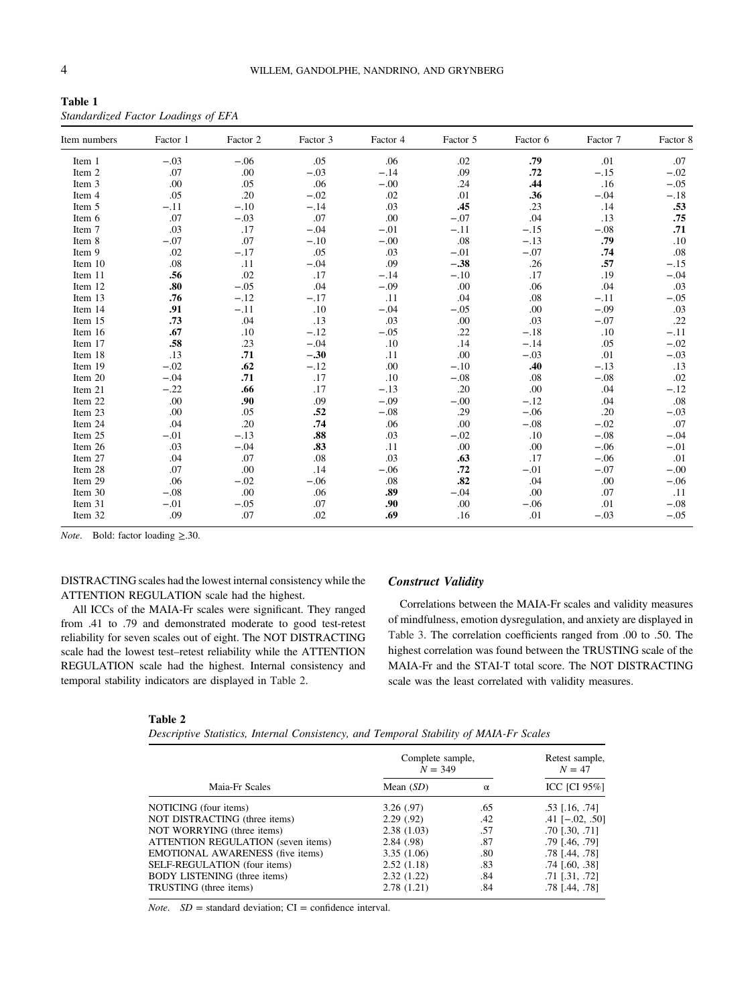| Table 1                             |  |  |
|-------------------------------------|--|--|
| Standardized Factor Loadings of EFA |  |  |

| Item numbers | Factor 1 | Factor 2 | Factor 3 | Factor 4 | Factor 5 | Factor 6 | Factor 7 | Factor 8 |
|--------------|----------|----------|----------|----------|----------|----------|----------|----------|
| Item 1       | $-.03$   | $-.06$   | .05      | .06      | .02      | .79      | .01      | .07      |
| Item 2       | .07      | .00      | $-.03$   | $-.14$   | .09      | .72      | $-.15$   | $-.02$   |
| Item 3       | .00      | .05      | .06      | $-.00$   | .24      | .44      | .16      | $-.05$   |
| Item 4       | .05      | .20      | $-.02$   | .02      | .01      | .36      | $-.04$   | $-.18$   |
| Item 5       | $-.11$   | $-.10$   | $-.14$   | .03      | .45      | .23      | .14      | .53      |
| Item 6       | .07      | $-.03$   | .07      | .00      | $-.07$   | .04      | .13      | .75      |
| Item 7       | .03      | .17      | $-.04$   | $-.01$   | $-.11$   | $-.15$   | $-.08$   | .71      |
| Item 8       | $-.07$   | .07      | $-.10$   | $-.00$   | .08      | $-.13$   | .79      | .10      |
| Item 9       | .02      | $-.17$   | .05      | .03      | $-.01$   | $-.07$   | .74      | .08      |
| Item 10      | .08      | .11      | $-.04$   | .09      | $-.38$   | .26      | .57      | $-.15$   |
| Item 11      | .56      | .02      | .17      | $-.14$   | $-.10$   | .17      | .19      | $-.04$   |
| Item 12      | .80      | $-.05$   | .04      | $-.09$   | .00      | .06      | .04      | .03      |
| Item 13      | .76      | $-.12$   | $-.17$   | .11      | .04      | .08      | $-.11$   | $-.05$   |
| Item 14      | .91      | $-.11$   | .10      | $-.04$   | $-.05$   | .00      | $-.09$   | .03      |
| Item 15      | .73      | .04      | .13      | .03      | .00      | .03      | $-.07$   | .22      |
| Item 16      | .67      | .10      | $-.12$   | $-.05$   | .22      | $-.18$   | .10      | $-.11$   |
| Item 17      | .58      | .23      | $-.04$   | .10      | .14      | $-.14$   | .05      | $-.02$   |
| Item 18      | .13      | .71      | $-.30$   | .11      | .00      | $-.03$   | .01      | $-.03$   |
| Item 19      | $-.02$   | .62      | $-.12$   | .00      | $-.10$   | .40      | $-.13$   | .13      |
| Item 20      | $-.04$   | .71      | .17      | .10      | $-.08$   | .08      | $-.08$   | .02      |
| Item 21      | $-.22$   | .66      | .17      | $-.13$   | .20      | .00      | .04      | $-.12$   |
| Item 22      | .00      | .90      | .09      | $-.09$   | $-.00$   | $-.12$   | .04      | .08      |
| Item 23      | .00      | .05      | .52      | $-.08$   | .29      | $-.06$   | .20      | $-.03$   |
| Item 24      | .04      | .20      | .74      | .06      | .00      | $-.08$   | $-.02$   | .07      |
| Item 25      | $-.01$   | $-.13$   | .88      | .03      | $-.02$   | .10      | $-.08$   | $-.04$   |
| Item 26      | .03      | $-.04$   | .83      | .11      | .00      | .00      | $-.06$   | $-.01$   |
| Item 27      | .04      | .07      | .08      | .03      | .63      | .17      | $-.06$   | .01      |
| Item 28      | .07      | .00      | .14      | $-.06$   | .72      | $-.01$   | $-.07$   | $-.00$   |
| Item 29      | .06      | $-.02$   | $-.06$   | .08      | .82      | .04      | .00      | $-.06$   |
| Item 30      | $-.08$   | .00      | .06      | .89      | $-.04$   | .00      | .07      | .11      |
| Item 31      | $-.01$   | $-.05$   | .07      | .90      | .00      | $-.06$   | .01      | $-.08$   |
| Item 32      | .09      | .07      | .02      | .69      | .16      | .01      | $-.03$   | $-.05$   |

*Note.* Bold: factor loading  $\geq$ .30.

DISTRACTING scales had the lowest internal consistency while the ATTENTION REGULATION scale had the highest.

All ICCs of the MAIA-Fr scales were significant. They ranged from .41 to .79 and demonstrated moderate to good test-retest reliability for seven scales out of eight. The NOT DISTRACTING scale had the lowest test–retest reliability while the ATTENTION REGULATION scale had the highest. Internal consistency and temporal stability indicators are displayed in Table 2.

#### Construct Validity

Correlations between the MAIA-Fr scales and validity measures of mindfulness, emotion dysregulation, and anxiety are displayed in [Table 3.](#page-5-0) The correlation coefficients ranged from .00 to .50. The highest correlation was found between the TRUSTING scale of the MAIA-Fr and the STAI-T total score. The NOT DISTRACTING scale was the least correlated with validity measures.

#### Table 2

| Descriptive Statistics, Internal Consistency, and Temporal Stability of MAIA-Fr Scales |  |  |  |  |  |
|----------------------------------------------------------------------------------------|--|--|--|--|--|
|----------------------------------------------------------------------------------------|--|--|--|--|--|

|                                         | Complete sample,<br>$N = 349$ | Retest sample,<br>$N = 47$ |                       |
|-----------------------------------------|-------------------------------|----------------------------|-----------------------|
| Maia-Fr Scales                          | Mean $(SD)$                   | $\alpha$                   | <b>ICC [CI 95%]</b>   |
| NOTICING (four items)                   | 3.26(.97)                     | .65                        | $.53$ [.16, .74]      |
| NOT DISTRACTING (three items)           | 2.29(.92)                     | .42                        | $.41$ [ $-.02, .50$ ] |
| NOT WORRYING (three items)              | 2.38(1.03)                    | .57                        | $.70$ $[.30, .71]$    |
| ATTENTION REGULATION (seven items)      | 2.84(0.98)                    | .87                        | .79 [.46, .79]        |
| <b>EMOTIONAL AWARENESS</b> (five items) | 3.35(1.06)                    | .80                        | .78 [.44, .78]        |
| SELF-REGULATION (four items)            | 2.52(1.18)                    | .83                        | $.74$ [.60, .38]      |
| <b>BODY LISTENING</b> (three items)     | 2.32(1.22)                    | .84                        | .71 [.31, .72]        |
| TRUSTING (three items)                  | 2.78(1.21)                    | .84                        | .78 [.44, .78]        |

*Note.*  $SD =$  standard deviation;  $CI =$  confidence interval.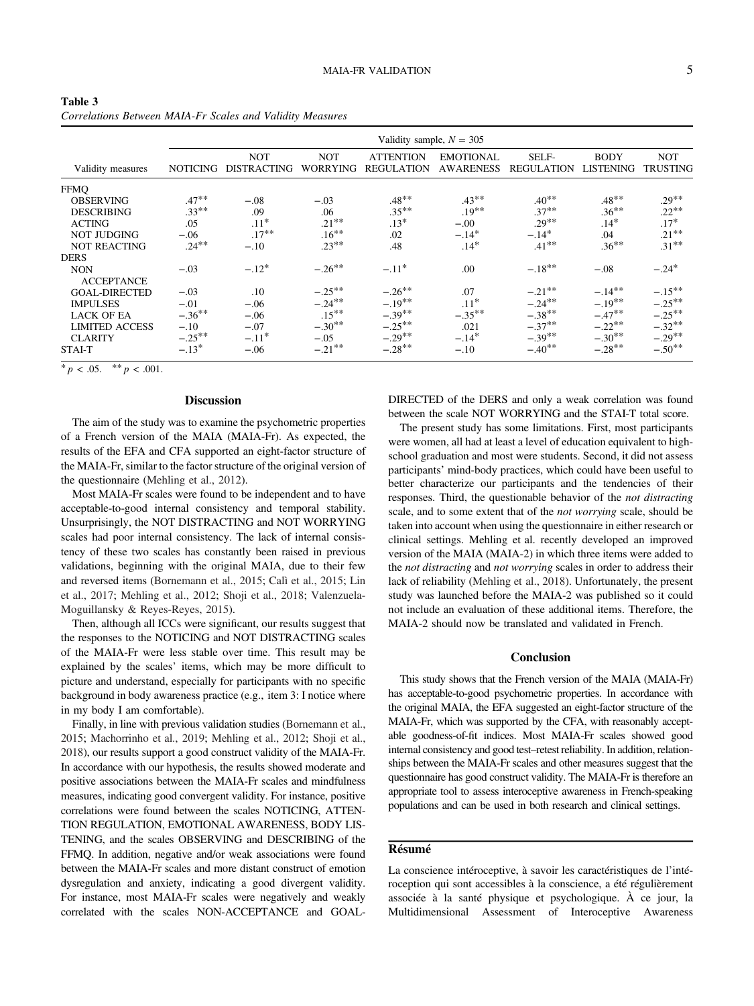<span id="page-5-0"></span>Table 3 Correlations Between MAIA-Fr Scales and Validity Measures

|                       | Validity sample, $N = 305$ |                                  |                               |                                |                                      |                            |                                 |                        |
|-----------------------|----------------------------|----------------------------------|-------------------------------|--------------------------------|--------------------------------------|----------------------------|---------------------------------|------------------------|
| Validity measures     | <b>NOTICING</b>            | <b>NOT</b><br><b>DISTRACTING</b> | <b>NOT</b><br><b>WORRYING</b> | ATTENTION<br><b>REGULATION</b> | <b>EMOTIONAL</b><br><b>AWARENESS</b> | SELF-<br><b>REGULATION</b> | <b>BODY</b><br><b>LISTENING</b> | NOT<br><b>TRUSTING</b> |
| <b>FFMO</b>           |                            |                                  |                               |                                |                                      |                            |                                 |                        |
| <b>OBSERVING</b>      | $.47***$                   | $-.08$                           | $-.03$                        | $.48***$                       | $.43***$                             | $.40**$                    | $.48**$                         | $.29***$               |
| <b>DESCRIBING</b>     | $.33***$                   | .09                              | .06                           | $.35***$                       | $.19***$                             | $.37***$                   | $.36***$                        | $.22***$               |
| <b>ACTING</b>         | .05                        | $.11*$                           | $.21***$                      | $.13*$                         | $-.00$                               | $.29***$                   | $.14*$                          | $.17*$                 |
| NOT JUDGING           | $-.06$                     | $.17***$                         | $.16***$                      | .02                            | $-.14*$                              | $-.14*$                    | .04                             | $.21***$               |
| <b>NOT REACTING</b>   | $.24***$                   | $-.10$                           | $.23***$                      | .48                            | $.14*$                               | $.41***$                   | $.36***$                        | $.31***$               |
| <b>DERS</b>           |                            |                                  |                               |                                |                                      |                            |                                 |                        |
| <b>NON</b>            | $-.03$                     | $-.12*$                          | $-.26***$                     | $-.11*$                        | .00                                  | $-.18***$                  | $-.08$                          | $-.24*$                |
| <b>ACCEPTANCE</b>     |                            |                                  |                               |                                |                                      |                            |                                 |                        |
| <b>GOAL-DIRECTED</b>  | $-.03$                     | $.10\,$                          | $-.25***$                     | $-.26***$                      | .07                                  | $-.21***$                  | $-.14***$                       | $-.15***$              |
| <b>IMPULSES</b>       | $-.01$                     | $-.06$                           | $-.24***$                     | $-.19***$                      | $.11*$                               | $-.24***$                  | $-.19***$                       | $-.25***$              |
| <b>LACK OF EA</b>     | $-.36***$                  | $-.06$                           | $.15***$                      | $-.39**$                       | $-.35***$                            | $-.38***$                  | $-.47**$                        | $-.25***$              |
| <b>LIMITED ACCESS</b> | $-.10$                     | $-.07$                           | $-.30**$                      | $-.25***$                      | .021                                 | $-.37***$                  | $-.22**$                        | $-.32**$               |
| <b>CLARITY</b>        | $-.25***$                  | $-.11*$                          | $-.05$                        | $-.29***$                      | $-.14*$                              | $-.39***$                  | $-.30**$                        | $-.29***$              |
| STAI-T                | $-.13*$                    | $-.06$                           | $-.21***$                     | $-.28**$                       | $-.10$                               | $-.40**$                   | $-.28***$                       | $-.50**$               |

\*  $p < .05.$  \*\*  $p < .001.$ 

#### **Discussion**

The aim of the study was to examine the psychometric properties of a French version of the MAIA (MAIA-Fr). As expected, the results of the EFA and CFA supported an eight-factor structure of the MAIA-Fr, similar to the factor structure of the original version of the questionnaire (Mehling et al., 2012).

Most MAIA-Fr scales were found to be independent and to have acceptable-to-good internal consistency and temporal stability. Unsurprisingly, the NOT DISTRACTING and NOT WORRYING scales had poor internal consistency. The lack of internal consistency of these two scales has constantly been raised in previous validations, beginning with the original MAIA, due to their few and reversed items (Bornemann et al., 2015; Calì et al., 2015; Lin et al., 2017; Mehling et al., 2012; Shoji et al., 2018; Valenzuela-Moguillansky & Reyes-Reyes, 2015).

Then, although all ICCs were significant, our results suggest that the responses to the NOTICING and NOT DISTRACTING scales of the MAIA-Fr were less stable over time. This result may be explained by the scales' items, which may be more difficult to picture and understand, especially for participants with no specific background in body awareness practice (e.g., item 3: I notice where in my body I am comfortable).

Finally, in line with previous validation studies (Bornemann et al., 2015; Machorrinho et al., 2019; Mehling et al., 2012; Shoji et al., 2018), our results support a good construct validity of the MAIA-Fr. In accordance with our hypothesis, the results showed moderate and positive associations between the MAIA-Fr scales and mindfulness measures, indicating good convergent validity. For instance, positive correlations were found between the scales NOTICING, ATTEN-TION REGULATION, EMOTIONAL AWARENESS, BODY LIS-TENING, and the scales OBSERVING and DESCRIBING of the FFMQ. In addition, negative and/or weak associations were found between the MAIA-Fr scales and more distant construct of emotion dysregulation and anxiety, indicating a good divergent validity. For instance, most MAIA-Fr scales were negatively and weakly correlated with the scales NON-ACCEPTANCE and GOAL-

DIRECTED of the DERS and only a weak correlation was found between the scale NOT WORRYING and the STAI-T total score.

The present study has some limitations. First, most participants were women, all had at least a level of education equivalent to highschool graduation and most were students. Second, it did not assess participants' mind-body practices, which could have been useful to better characterize our participants and the tendencies of their responses. Third, the questionable behavior of the not distracting scale, and to some extent that of the not worrying scale, should be taken into account when using the questionnaire in either research or clinical settings. Mehling et al. recently developed an improved version of the MAIA (MAIA-2) in which three items were added to the not distracting and not worrying scales in order to address their lack of reliability (Mehling et al., 2018). Unfortunately, the present study was launched before the MAIA-2 was published so it could not include an evaluation of these additional items. Therefore, the MAIA-2 should now be translated and validated in French.

#### **Conclusion**

This study shows that the French version of the MAIA (MAIA-Fr) has acceptable-to-good psychometric properties. In accordance with the original MAIA, the EFA suggested an eight-factor structure of the MAIA-Fr, which was supported by the CFA, with reasonably acceptable goodness-of-fit indices. Most MAIA-Fr scales showed good internal consistency and good test–retest reliability. In addition, relationships between the MAIA-Fr scales and other measures suggest that the questionnaire has good construct validity. The MAIA-Fr is therefore an appropriate tool to assess interoceptive awareness in French-speaking populations and can be used in both research and clinical settings.

#### Résumé

La conscience intéroceptive, à savoir les caractéristiques de l'intéroception qui sont accessibles à la conscience, a été régulièrement associée à la santé physique et psychologique. À ce jour, la Multidimensional Assessment of Interoceptive Awareness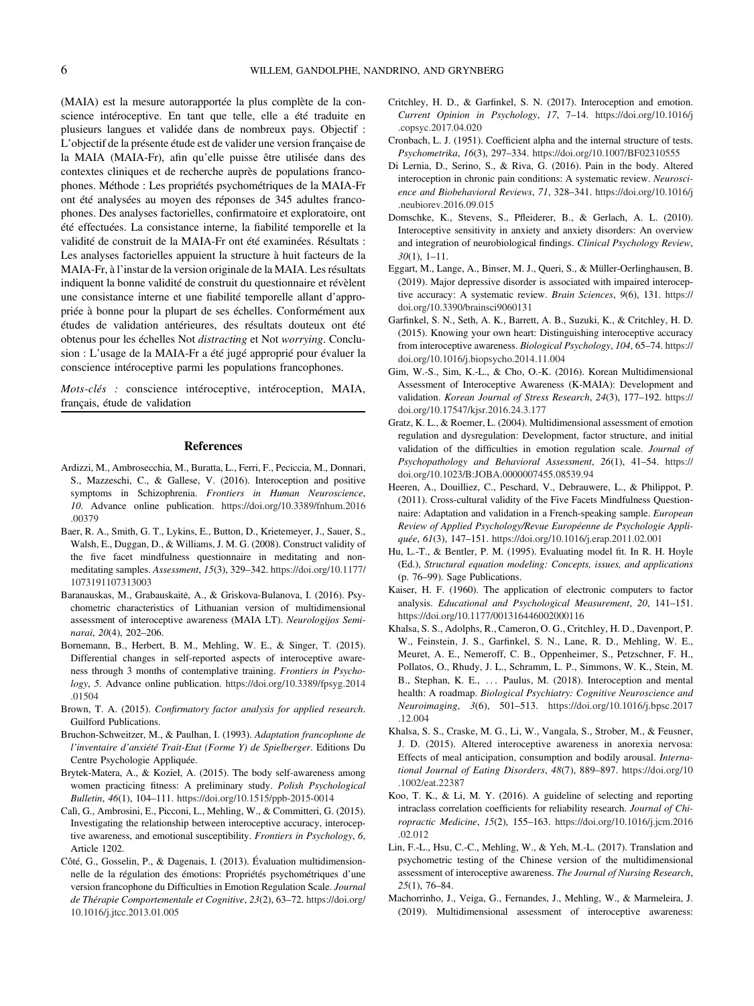<span id="page-6-0"></span>(MAIA) est la mesure autorapportée la plus complète de la conscience intéroceptive. En tant que telle, elle a été traduite en plusieurs langues et validée dans de nombreux pays. Objectif : L'objectif de la présente étude est de valider une version française de la MAIA (MAIA-Fr), afin qu'elle puisse être utilisée dans des contextes cliniques et de recherche auprès de populations francophones. Méthode : Les propriétés psychométriques de la MAIA-Fr ont été analysées au moyen des réponses de 345 adultes francophones. Des analyses factorielles, confirmatoire et exploratoire, ont été effectuées. La consistance interne, la fiabilité temporelle et la validité de construit de la MAIA-Fr ont été examinées. Résultats : Les analyses factorielles appuient la structure à huit facteurs de la MAIA-Fr, à l'instar de la version originale de la MAIA. Les résultats indiquent la bonne validité de construit du questionnaire et révèlent une consistance interne et une fiabilité temporelle allant d'appropriée à bonne pour la plupart de ses échelles. Conformément aux études de validation antérieures, des résultats douteux ont été obtenus pour les échelles Not distracting et Not worrying. Conclusion : L'usage de la MAIA-Fr a été jugé approprié pour évaluer la conscience intéroceptive parmi les populations francophones.

Mots-clés : conscience intéroceptive, intéroception, MAIA, français, étude de validation

#### References

- Ardizzi, M., Ambrosecchia, M., Buratta, L., Ferri, F., Peciccia, M., Donnari, S., Mazzeschi, C., & Gallese, V. (2016). Interoception and positive symptoms in Schizophrenia. Frontiers in Human Neuroscience, 10. Advance online publication. [https://doi.org/10.3389/fnhum.2016](https://doi.org/10.3389/fnhum.2016.00379) [.00379](https://doi.org/10.3389/fnhum.2016.00379)
- Baer, R. A., Smith, G. T., Lykins, E., Button, D., Krietemeyer, J., Sauer, S., Walsh, E., Duggan, D., & Williams, J. M. G. (2008). Construct validity of the five facet mindfulness questionnaire in meditating and nonmeditating samples. Assessment, 15(3), 329–342. [https://doi.org/10.1177/](https://doi.org/10.1177/1073191107313003) [1073191107313003](https://doi.org/10.1177/1073191107313003)
- Baranauskas, M., Grabauskaitė, A., & Griskova-Bulanova, I. (2016). Psychometric characteristics of Lithuanian version of multidimensional assessment of interoceptive awareness (MAIA LT). Neurologijos Seminarai, 20(4), 202–206.
- Bornemann, B., Herbert, B. M., Mehling, W. E., & Singer, T. (2015). Differential changes in self-reported aspects of interoceptive awareness through 3 months of contemplative training. Frontiers in Psychology, 5. Advance online publication. [https://doi.org/10.3389/fpsyg.2014](https://doi.org/10.3389/fpsyg.2014.01504) [.01504](https://doi.org/10.3389/fpsyg.2014.01504)
- Brown, T. A. (2015). Confirmatory factor analysis for applied research. Guilford Publications.
- Bruchon-Schweitzer, M., & Paulhan, I. (1993). Adaptation francophone de l'inventaire d'anxiété Trait-Etat (Forme Y) de Spielberger. Editions Du Centre Psychologie Appliquée.
- Brytek-Matera, A., & Kozieł, A. (2015). The body self-awareness among women practicing fitness: A preliminary study. Polish Psychological Bulletin, 46(1), 104–111. <https://doi.org/10.1515/ppb-2015-0014>
- Calì, G., Ambrosini, E., Picconi, L., Mehling, W., & Committeri, G. (2015). Investigating the relationship between interoceptive accuracy, interoceptive awareness, and emotional susceptibility. Frontiers in Psychology, 6, Article 1202.
- Côté, G., Gosselin, P., & Dagenais, I. (2013). Évaluation multidimensionnelle de la régulation des émotions: Propriétés psychométriques d'une version francophone du Difficulties in Emotion Regulation Scale. Journal de Thérapie Comportementale et Cognitive, 23(2), 63–72. [https://doi.org/](https://doi.org/10.1016/j.jtcc.2013.01.005) [10.1016/j.jtcc.2013.01.005](https://doi.org/10.1016/j.jtcc.2013.01.005)
- Critchley, H. D., & Garfinkel, S. N. (2017). Interoception and emotion. Current Opinion in Psychology, 17, 7–14. [https://doi.org/10.1016/j](https://doi.org/10.1016/j.copsyc.2017.04.020) [.copsyc.2017.04.020](https://doi.org/10.1016/j.copsyc.2017.04.020)
- Cronbach, L. J. (1951). Coefficient alpha and the internal structure of tests. Psychometrika, 16(3), 297–334. <https://doi.org/10.1007/BF02310555>
- Di Lernia, D., Serino, S., & Riva, G. (2016). Pain in the body. Altered interoception in chronic pain conditions: A systematic review. Neuroscience and Biobehavioral Reviews, 71, 328–341. [https://doi.org/10.1016/j](https://doi.org/10.1016/j.neubiorev.2016.09.015) [.neubiorev.2016.09.015](https://doi.org/10.1016/j.neubiorev.2016.09.015)
- Domschke, K., Stevens, S., Pfleiderer, B., & Gerlach, A. L. (2010). Interoceptive sensitivity in anxiety and anxiety disorders: An overview and integration of neurobiological findings. Clinical Psychology Review, 30(1), 1–11.
- Eggart, M., Lange, A., Binser, M. J., Queri, S., & Müller-Oerlinghausen, B. (2019). Major depressive disorder is associated with impaired interoceptive accuracy: A systematic review. Brain Sciences, 9(6), 131. [https://](https://doi.org/10.3390/brainsci9060131) [doi.org/10.3390/brainsci9060131](https://doi.org/10.3390/brainsci9060131)
- Garfinkel, S. N., Seth, A. K., Barrett, A. B., Suzuki, K., & Critchley, H. D. (2015). Knowing your own heart: Distinguishing interoceptive accuracy from interoceptive awareness. Biological Psychology, 104, 65–74. [https://](https://doi.org/10.1016/j.biopsycho.2014.11.004) [doi.org/10.1016/j.biopsycho.2014.11.004](https://doi.org/10.1016/j.biopsycho.2014.11.004)
- Gim, W.-S., Sim, K.-L., & Cho, O.-K. (2016). Korean Multidimensional Assessment of Interoceptive Awareness (K-MAIA): Development and validation. Korean Journal of Stress Research, 24(3), 177–192. [https://](https://doi.org/10.17547/kjsr.2016.24.3.177) [doi.org/10.17547/kjsr.2016.24.3.177](https://doi.org/10.17547/kjsr.2016.24.3.177)
- Gratz, K. L., & Roemer, L. (2004). Multidimensional assessment of emotion regulation and dysregulation: Development, factor structure, and initial validation of the difficulties in emotion regulation scale. Journal of Psychopathology and Behavioral Assessment, 26(1), 41–54. [https://](https://doi.org/10.1023/B:JOBA.0000007455.08539.94) [doi.org/10.1023/B:JOBA.0000007455.08539.94](https://doi.org/10.1023/B:JOBA.0000007455.08539.94)
- Heeren, A., Douilliez, C., Peschard, V., Debrauwere, L., & Philippot, P. (2011). Cross-cultural validity of the Five Facets Mindfulness Questionnaire: Adaptation and validation in a French-speaking sample. European Review of Applied Psychology/Revue Européenne de Psychologie Appliquée, 61(3), 147–151. <https://doi.org/10.1016/j.erap.2011.02.001>
- Hu, L.-T., & Bentler, P. M. (1995). Evaluating model fit. In R. H. Hoyle (Ed.), Structural equation modeling: Concepts, issues, and applications (p. 76–99). Sage Publications.
- Kaiser, H. F. (1960). The application of electronic computers to factor analysis. Educational and Psychological Measurement, 20, 141–151. <https://doi.org/10.1177/001316446002000116>
- Khalsa, S. S., Adolphs, R., Cameron, O. G., Critchley, H. D., Davenport, P. W., Feinstein, J. S., Garfinkel, S. N., Lane, R. D., Mehling, W. E., Meuret, A. E., Nemeroff, C. B., Oppenheimer, S., Petzschner, F. H., Pollatos, O., Rhudy, J. L., Schramm, L. P., Simmons, W. K., Stein, M. B., Stephan, K. E., ... Paulus, M. (2018). Interoception and mental health: A roadmap. Biological Psychiatry: Cognitive Neuroscience and Neuroimaging, 3(6), 501–513. [https://doi.org/10.1016/j.bpsc.2017](https://doi.org/10.1016/j.bpsc.2017.12.004) [.12.004](https://doi.org/10.1016/j.bpsc.2017.12.004)
- Khalsa, S. S., Craske, M. G., Li, W., Vangala, S., Strober, M., & Feusner, J. D. (2015). Altered interoceptive awareness in anorexia nervosa: Effects of meal anticipation, consumption and bodily arousal. International Journal of Eating Disorders, 48(7), 889–897. [https://doi.org/10](https://doi.org/10.1002/eat.22387) [.1002/eat.22387](https://doi.org/10.1002/eat.22387)
- Koo, T. K., & Li, M. Y. (2016). A guideline of selecting and reporting intraclass correlation coefficients for reliability research. Journal of Chiropractic Medicine, 15(2), 155–163. [https://doi.org/10.1016/j.jcm.2016](https://doi.org/10.1016/j.jcm.2016.02.012) [.02.012](https://doi.org/10.1016/j.jcm.2016.02.012)
- Lin, F.-L., Hsu, C.-C., Mehling, W., & Yeh, M.-L. (2017). Translation and psychometric testing of the Chinese version of the multidimensional assessment of interoceptive awareness. The Journal of Nursing Research, 25(1), 76–84.
- Machorrinho, J., Veiga, G., Fernandes, J., Mehling, W., & Marmeleira, J. (2019). Multidimensional assessment of interoceptive awareness: